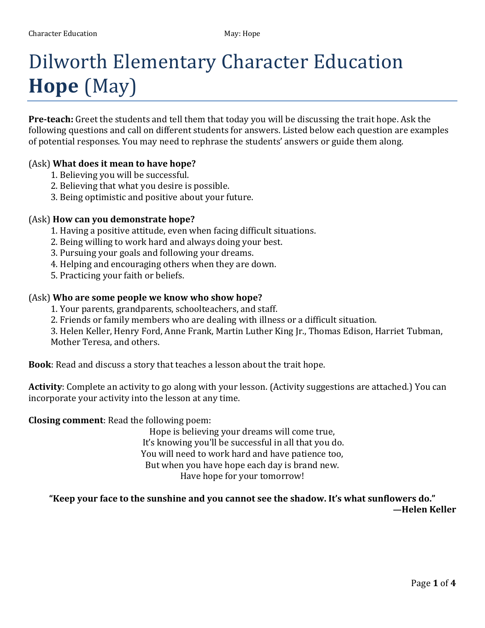# Dilworth Elementary Character Education **Hope** (May)

**Pre-teach:** Greet the students and tell them that today you will be discussing the trait hope. Ask the following questions and call on different students for answers. Listed below each question are examples of potential responses. You may need to rephrase the students' answers or guide them along.

#### (Ask) **What does it mean to have hope?**

- 1. Believing you will be successful.
- 2. Believing that what you desire is possible.
- 3. Being optimistic and positive about your future.

#### (Ask) **How can you demonstrate hope?**

- 1. Having a positive attitude, even when facing difficult situations.
- 2. Being willing to work hard and always doing your best.
- 3. Pursuing your goals and following your dreams.
- 4. Helping and encouraging others when they are down.
- 5. Practicing your faith or beliefs.

#### (Ask) **Who are some people we know who show hope?**

- 1. Your parents, grandparents, schoolteachers, and staff.
- 2. Friends or family members who are dealing with illness or a difficult situation.

3. Helen Keller, Henry Ford, Anne Frank, Martin Luther King Jr., Thomas Edison, Harriet Tubman, Mother Teresa, and others.

**Book**: Read and discuss a story that teaches a lesson about the trait hope.

**Activity**: Complete an activity to go along with your lesson. (Activity suggestions are attached.) You can incorporate your activity into the lesson at any time.

#### **Closing comment**: Read the following poem:

Hope is believing your dreams will come true, It's knowing you'll be successful in all that you do. You will need to work hard and have patience too, But when you have hope each day is brand new. Have hope for your tomorrow!

**"Keep your face to the sunshine and you cannot see the shadow. It's what sunflowers do." —Helen Keller**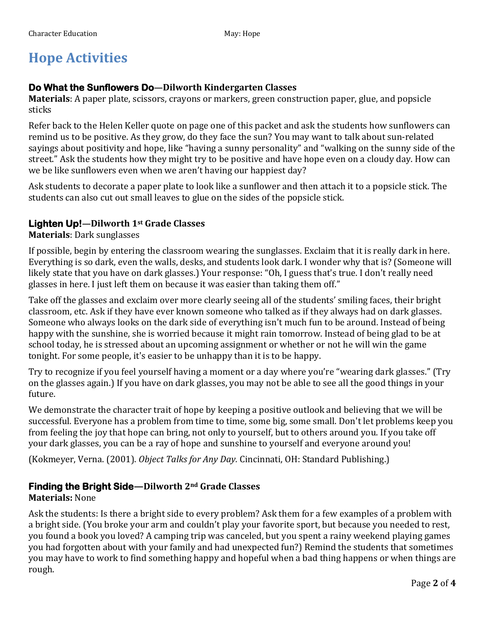# **Hope Activities**

#### **Do What the Sunflowers Do—Dilworth Kindergarten Classes**

**Materials**: A paper plate, scissors, crayons or markers, green construction paper, glue, and popsicle sticks

Refer back to the Helen Keller quote on page one of this packet and ask the students how sunflowers can remind us to be positive. As they grow, do they face the sun? You may want to talk about sun-related sayings about positivity and hope, like "having a sunny personality" and "walking on the sunny side of the street." Ask the students how they might try to be positive and have hope even on a cloudy day. How can we be like sunflowers even when we aren't having our happiest day?

Ask students to decorate a paper plate to look like a sunflower and then attach it to a popsicle stick. The students can also cut out small leaves to glue on the sides of the popsicle stick.

#### **Lighten Up!—Dilworth 1st Grade Classes**

#### **Materials**: Dark sunglasses

If possible, begin by entering the classroom wearing the sunglasses. Exclaim that it is really dark in here. Everything is so dark, even the walls, desks, and students look dark. I wonder why that is? (Someone will likely state that you have on dark glasses.) Your response: "Oh, I guess that's true. I don't really need glasses in here. I just left them on because it was easier than taking them off."

Take off the glasses and exclaim over more clearly seeing all of the students' smiling faces, their bright classroom, etc. Ask if they have ever known someone who talked as if they always had on dark glasses. Someone who always looks on the dark side of everything isn't much fun to be around. Instead of being happy with the sunshine, she is worried because it might rain tomorrow. Instead of being glad to be at school today, he is stressed about an upcoming assignment or whether or not he will win the game tonight. For some people, it's easier to be unhappy than it is to be happy.

Try to recognize if you feel yourself having a moment or a day where you're "wearing dark glasses." (Try on the glasses again.) If you have on dark glasses, you may not be able to see all the good things in your future.

We demonstrate the character trait of hope by keeping a positive outlook and believing that we will be successful. Everyone has a problem from time to time, some big, some small. Don't let problems keep you from feeling the joy that hope can bring, not only to yourself, but to others around you. If you take off your dark glasses, you can be a ray of hope and sunshine to yourself and everyone around you!

(Kokmeyer, Verna. (2001). *Object Talks for Any Day.* Cincinnati, OH: Standard Publishing.)

#### **Finding the Bright Side—Dilworth 2nd Grade Classes**

#### **Materials:** None

Ask the students: Is there a bright side to every problem? Ask them for a few examples of a problem with a bright side. (You broke your arm and couldn't play your favorite sport, but because you needed to rest, you found a book you loved? A camping trip was canceled, but you spent a rainy weekend playing games you had forgotten about with your family and had unexpected fun?) Remind the students that sometimes you may have to work to find something happy and hopeful when a bad thing happens or when things are rough.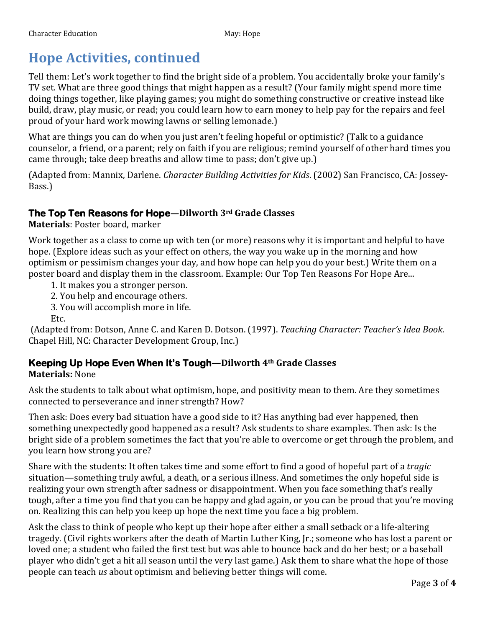# **Hope Activities, continued**

Tell them: Let's work together to find the bright side of a problem. You accidentally broke your family's TV set. What are three good things that might happen as a result? (Your family might spend more time doing things together, like playing games; you might do something constructive or creative instead like build, draw, play music, or read; you could learn how to earn money to help pay for the repairs and feel proud of your hard work mowing lawns or selling lemonade.)

What are things you can do when you just aren't feeling hopeful or optimistic? (Talk to a guidance counselor, a friend, or a parent; rely on faith if you are religious; remind yourself of other hard times you came through; take deep breaths and allow time to pass; don't give up.)

(Adapted from: Mannix, Darlene. *Character Building Activities for Kids*. (2002) San Francisco, CA: Jossey-Bass.)

#### **The Top Ten Reasons for Hope—Dilworth 3rd Grade Classes**

**Materials**: Poster board, marker

Work together as a class to come up with ten (or more) reasons why it is important and helpful to have hope. (Explore ideas such as your effect on others, the way you wake up in the morning and how optimism or pessimism changes your day, and how hope can help you do your best.) Write them on a poster board and display them in the classroom. Example: Our Top Ten Reasons For Hope Are...

- 1. It makes you a stronger person.
- 2. You help and encourage others.
- 3. You will accomplish more in life.

Etc.

(Adapted from: Dotson, Anne C. and Karen D. Dotson. (1997). *Teaching Character: Teacher's Idea Book.*  Chapel Hill, NC: Character Development Group, Inc.)

### **Keeping Up Hope Even When It's Tough—Dilworth 4th Grade Classes**

**Materials:** None

Ask the students to talk about what optimism, hope, and positivity mean to them. Are they sometimes connected to perseverance and inner strength? How?

Then ask: Does every bad situation have a good side to it? Has anything bad ever happened, then something unexpectedly good happened as a result? Ask students to share examples. Then ask: Is the bright side of a problem sometimes the fact that you're able to overcome or get through the problem, and you learn how strong you are?

Share with the students: It often takes time and some effort to find a good of hopeful part of a *tragic* situation—something truly awful, a death, or a serious illness. And sometimes the only hopeful side is realizing your own strength after sadness or disappointment. When you face something that's really tough, after a time you find that you can be happy and glad again, or you can be proud that you're moving on. Realizing this can help you keep up hope the next time you face a big problem.

Ask the class to think of people who kept up their hope after either a small setback or a life-altering tragedy. (Civil rights workers after the death of Martin Luther King, Jr.; someone who has lost a parent or loved one; a student who failed the first test but was able to bounce back and do her best; or a baseball player who didn't get a hit all season until the very last game.) Ask them to share what the hope of those people can teach *us* about optimism and believing better things will come.